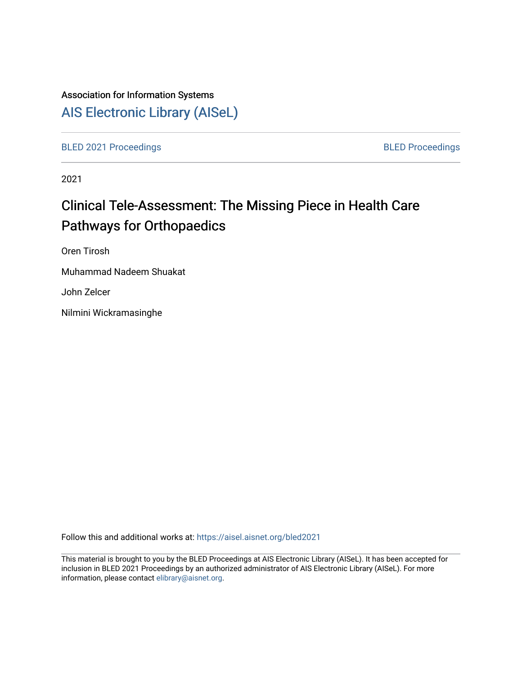## Association for Information Systems

## [AIS Electronic Library \(AISeL\)](https://aisel.aisnet.org/)

[BLED 2021 Proceedings](https://aisel.aisnet.org/bled2021) **BLED Proceedings** 

2021

# Clinical Tele-Assessment: The Missing Piece in Health Care Pathways for Orthopaedics

Oren Tirosh

Muhammad Nadeem Shuakat

John Zelcer

Nilmini Wickramasinghe

Follow this and additional works at: [https://aisel.aisnet.org/bled2021](https://aisel.aisnet.org/bled2021?utm_source=aisel.aisnet.org%2Fbled2021%2F15&utm_medium=PDF&utm_campaign=PDFCoverPages) 

This material is brought to you by the BLED Proceedings at AIS Electronic Library (AISeL). It has been accepted for inclusion in BLED 2021 Proceedings by an authorized administrator of AIS Electronic Library (AISeL). For more information, please contact [elibrary@aisnet.org.](mailto:elibrary@aisnet.org%3E)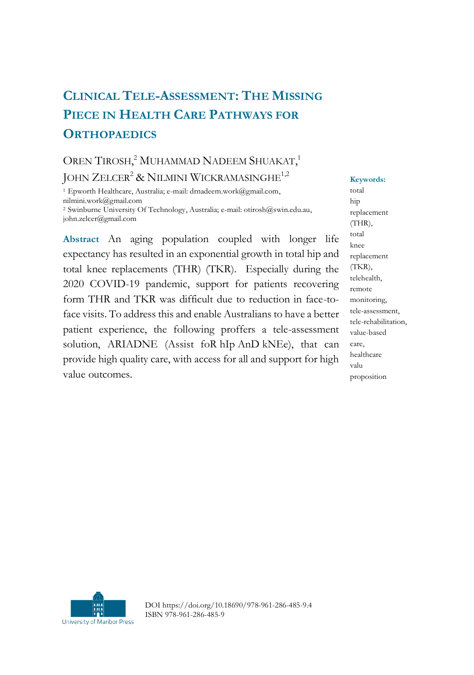## **CLINICAL TELE-ASSESSMENT: THE MISSING PIECE IN HEALTH CARE PATHWAYS FOR ORTHOPAEDICS**

## OREN TIROSH, <sup>2</sup> MUHAMMAD NADEEM SHUAKAT, 1 JOHN ZELCER<sup>2</sup> & NILMINI WICKRAMASINGHE<sup>1,2</sup>

<sup>1</sup> Epworth Healthcare, Australia; e-mail[: drnadeem.work@gmail.com,](mailto:drnadeem.work@gmail.com)  [nilmini.work@gmail.com](mailto:nilmini.work@gmail.com) <sup>2</sup>Swinburne University Of Technology, Australia; e-mail: [otirosh@swin.edu.au,](mailto:otirosh@swin.edu.au)  [john.zelcer@gmail.com](mailto:john.zelcer@gmail.com)

**Abstract** An aging population coupled with longer life expectancy has resulted in an exponential growth in total hip and total knee replacements (THR) (TKR). Especially during the 2020 COVID-19 pandemic, support for patients recovering form THR and TKR was difficult due to reduction in face-toface visits. To address this and enable Australians to have a better patient experience, the following proffers a tele-assessment solution, ARIADNE (Assist foR hIp AnD kNEe), that can provide high quality care, with access for all and support for high value outcomes.

**Keywords:** total hip replacement (THR), total knee replacement (TKR), telehealth, remote monitoring, tele-assessment, tele-rehabilitation, value-based care, healthcare valu proposition



DOI https://doi.org/10.18690/978-961-286-485-9.4 ISBN 978-961-286-485-9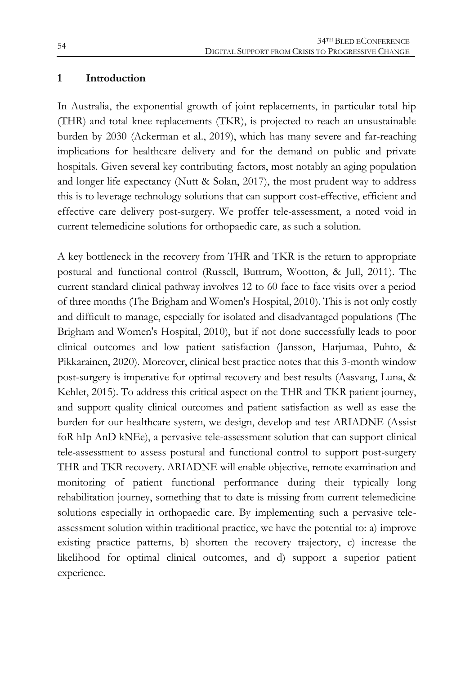#### **1 Introduction**

In Australia, the exponential growth of joint replacements, in particular total hip (THR) and total knee replacements (TKR), is projected to reach an unsustainable burden by 2030 (Ackerman et al., 2019), which has many severe and far-reaching implications for healthcare delivery and for the demand on public and private hospitals. Given several key contributing factors, most notably an aging population and longer life expectancy (Nutt & Solan, 2017), the most prudent way to address this is to leverage technology solutions that can support cost-effective, efficient and effective care delivery post-surgery. We proffer tele-assessment, a noted void in current telemedicine solutions for orthopaedic care, as such a solution.

A key bottleneck in the recovery from THR and TKR is the return to appropriate postural and functional control (Russell, Buttrum, Wootton, & Jull, 2011). The current standard clinical pathway involves 12 to 60 face to face visits over a period of three months (The Brigham and Women's Hospital, 2010). This is not only costly and difficult to manage, especially for isolated and disadvantaged populations (The Brigham and Women's Hospital, 2010), but if not done successfully leads to poor clinical outcomes and low patient satisfaction (Jansson, Harjumaa, Puhto, & Pikkarainen, 2020). Moreover, clinical best practice notes that this 3-month window post-surgery is imperative for optimal recovery and best results (Aasvang, Luna, & Kehlet, 2015). To address this critical aspect on the THR and TKR patient journey, and support quality clinical outcomes and patient satisfaction as well as ease the burden for our healthcare system, we design, develop and test ARIADNE (Assist foR hIp AnD kNEe), a pervasive tele-assessment solution that can support clinical tele-assessment to assess postural and functional control to support post-surgery THR and TKR recovery. ARIADNE will enable objective, remote examination and monitoring of patient functional performance during their typically long rehabilitation journey, something that to date is missing from current telemedicine solutions especially in orthopaedic care. By implementing such a pervasive teleassessment solution within traditional practice, we have the potential to: a) improve existing practice patterns, b) shorten the recovery trajectory, c) increase the likelihood for optimal clinical outcomes, and d) support a superior patient experience.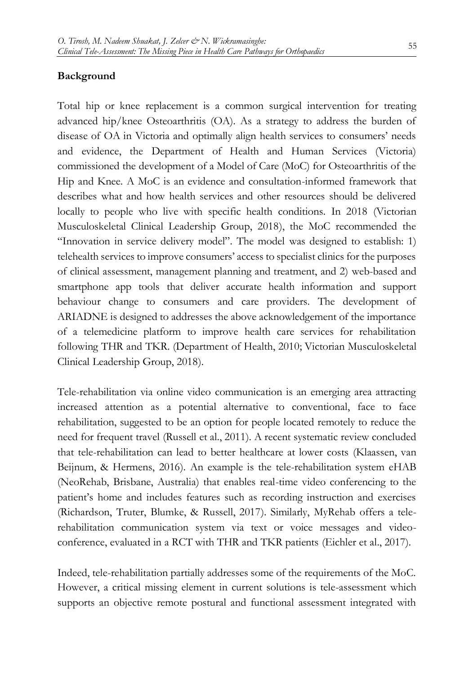#### **Background**

Total hip or knee replacement is a common surgical intervention for treating advanced hip/knee Osteoarthritis (OA). As a strategy to address the burden of disease of OA in Victoria and optimally align health services to consumers' needs and evidence, the Department of Health and Human Services (Victoria) commissioned the development of a Model of Care (MoC) for Osteoarthritis of the Hip and Knee. A MoC is an evidence and consultation-informed framework that describes what and how health services and other resources should be delivered locally to people who live with specific health conditions. In 2018 (Victorian Musculoskeletal Clinical Leadership Group, 2018), the MoC recommended the "Innovation in service delivery model". The model was designed to establish: 1) telehealth services to improve consumers' access to specialist clinics for the purposes of clinical assessment, management planning and treatment, and 2) web-based and smartphone app tools that deliver accurate health information and support behaviour change to consumers and care providers. The development of ARIADNE is designed to addresses the above acknowledgement of the importance of a telemedicine platform to improve health care services for rehabilitation following THR and TKR. (Department of Health, 2010; Victorian Musculoskeletal Clinical Leadership Group, 2018).

Tele-rehabilitation via online video communication is an emerging area attracting increased attention as a potential alternative to conventional, face to face rehabilitation, suggested to be an option for people located remotely to reduce the need for frequent travel (Russell et al., 2011). A recent systematic review concluded that tele-rehabilitation can lead to better healthcare at lower costs (Klaassen, van Beijnum, & Hermens, 2016). An example is the tele-rehabilitation system eHAB (NeoRehab, Brisbane, Australia) that enables real-time video conferencing to the patient's home and includes features such as recording instruction and exercises (Richardson, Truter, Blumke, & Russell, 2017). Similarly, MyRehab offers a telerehabilitation communication system via text or voice messages and videoconference, evaluated in a RCT with THR and TKR patients (Eichler et al., 2017).

Indeed, tele-rehabilitation partially addresses some of the requirements of the MoC. However, a critical missing element in current solutions is tele-assessment which supports an objective remote postural and functional assessment integrated with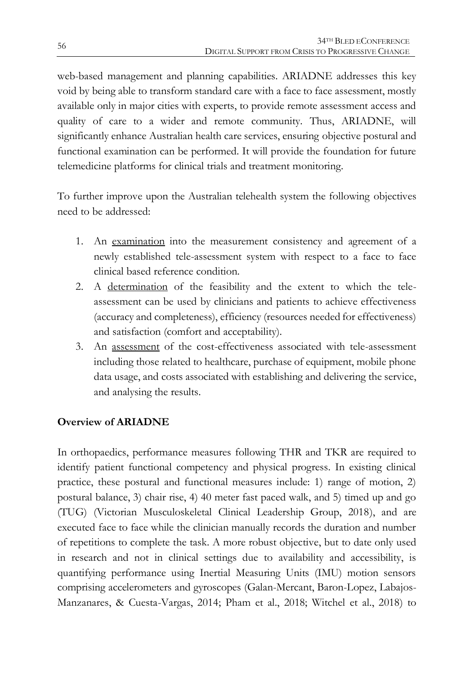web-based management and planning capabilities. ARIADNE addresses this key void by being able to transform standard care with a face to face assessment, mostly available only in major cities with experts, to provide remote assessment access and quality of care to a wider and remote community. Thus, ARIADNE, will significantly enhance Australian health care services, ensuring objective postural and functional examination can be performed. It will provide the foundation for future telemedicine platforms for clinical trials and treatment monitoring.

To further improve upon the Australian telehealth system the following objectives need to be addressed:

- 1. An examination into the measurement consistency and agreement of a newly established tele-assessment system with respect to a face to face clinical based reference condition.
- 2. A determination of the feasibility and the extent to which the teleassessment can be used by clinicians and patients to achieve effectiveness (accuracy and completeness), efficiency (resources needed for effectiveness) and satisfaction (comfort and acceptability).
- 3. An assessment of the cost-effectiveness associated with tele-assessment including those related to healthcare, purchase of equipment, mobile phone data usage, and costs associated with establishing and delivering the service, and analysing the results.

### **Overview of ARIADNE**

In orthopaedics, performance measures following THR and TKR are required to identify patient functional competency and physical progress. In existing clinical practice, these postural and functional measures include: 1) range of motion, 2) postural balance, 3) chair rise, 4) 40 meter fast paced walk, and 5) timed up and go (TUG) (Victorian Musculoskeletal Clinical Leadership Group, 2018), and are executed face to face while the clinician manually records the duration and number of repetitions to complete the task. A more robust objective, but to date only used in research and not in clinical settings due to availability and accessibility, is quantifying performance using Inertial Measuring Units (IMU) motion sensors comprising accelerometers and gyroscopes (Galan-Mercant, Baron-Lopez, Labajos-Manzanares, & Cuesta-Vargas, 2014; Pham et al., 2018; Witchel et al., 2018) to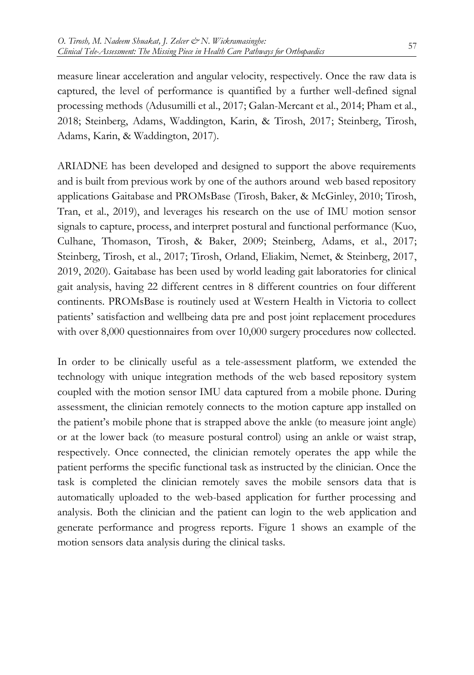measure linear acceleration and angular velocity, respectively. Once the raw data is captured, the level of performance is quantified by a further well-defined signal processing methods (Adusumilli et al., 2017; Galan-Mercant et al., 2014; Pham et al., 2018; Steinberg, Adams, Waddington, Karin, & Tirosh, 2017; Steinberg, Tirosh, Adams, Karin, & Waddington, 2017).

ARIADNE has been developed and designed to support the above requirements and is built from previous work by one of the authors around web based repository applications Gaitabase and PROMsBase (Tirosh, Baker, & McGinley, 2010; Tirosh, Tran, et al., 2019), and leverages his research on the use of IMU motion sensor signals to capture, process, and interpret postural and functional performance (Kuo, Culhane, Thomason, Tirosh, & Baker, 2009; Steinberg, Adams, et al., 2017; Steinberg, Tirosh, et al., 2017; Tirosh, Orland, Eliakim, Nemet, & Steinberg, 2017, 2019, 2020). Gaitabase has been used by world leading gait laboratories for clinical gait analysis, having 22 different centres in 8 different countries on four different continents. PROMsBase is routinely used at Western Health in Victoria to collect patients' satisfaction and wellbeing data pre and post joint replacement procedures with over 8,000 questionnaires from over 10,000 surgery procedures now collected.

In order to be clinically useful as a tele-assessment platform, we extended the technology with unique integration methods of the web based repository system coupled with the motion sensor IMU data captured from a mobile phone. During assessment, the clinician remotely connects to the motion capture app installed on the patient's mobile phone that is strapped above the ankle (to measure joint angle) or at the lower back (to measure postural control) using an ankle or waist strap, respectively. Once connected, the clinician remotely operates the app while the patient performs the specific functional task as instructed by the clinician. Once the task is completed the clinician remotely saves the mobile sensors data that is automatically uploaded to the web-based application for further processing and analysis. Both the clinician and the patient can login to the web application and generate performance and progress reports. Figure 1 shows an example of the motion sensors data analysis during the clinical tasks.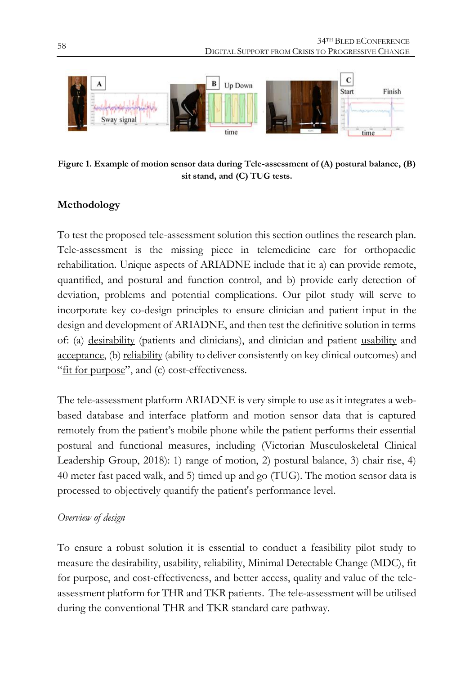

**Figure 1. Example of motion sensor data during Tele-assessment of (A) postural balance, (B) sit stand, and (C) TUG tests.**

### **Methodology**

To test the proposed tele-assessment solution this section outlines the research plan. Tele-assessment is the missing piece in telemedicine care for orthopaedic rehabilitation. Unique aspects of ARIADNE include that it: a) can provide remote, quantified, and postural and function control, and b) provide early detection of deviation, problems and potential complications. Our pilot study will serve to incorporate key co-design principles to ensure clinician and patient input in the design and development of ARIADNE, and then test the definitive solution in terms of: (a) desirability (patients and clinicians), and clinician and patient usability and acceptance, (b) reliability (ability to deliver consistently on key clinical outcomes) and "fit for purpose", and (c) cost-effectiveness.

The tele-assessment platform ARIADNE is very simple to use as it integrates a webbased database and interface platform and motion sensor data that is captured remotely from the patient's mobile phone while the patient performs their essential postural and functional measures, including (Victorian Musculoskeletal Clinical Leadership Group, 2018): 1) range of motion, 2) postural balance, 3) chair rise, 4) 40 meter fast paced walk, and 5) timed up and go (TUG). The motion sensor data is processed to objectively quantify the patient's performance level.

#### *Overview of design*

To ensure a robust solution it is essential to conduct a feasibility pilot study to measure the desirability, usability, reliability, Minimal Detectable Change (MDC), fit for purpose, and cost-effectiveness, and better access, quality and value of the teleassessment platform for THR and TKR patients. The tele-assessment will be utilised during the conventional THR and TKR standard care pathway.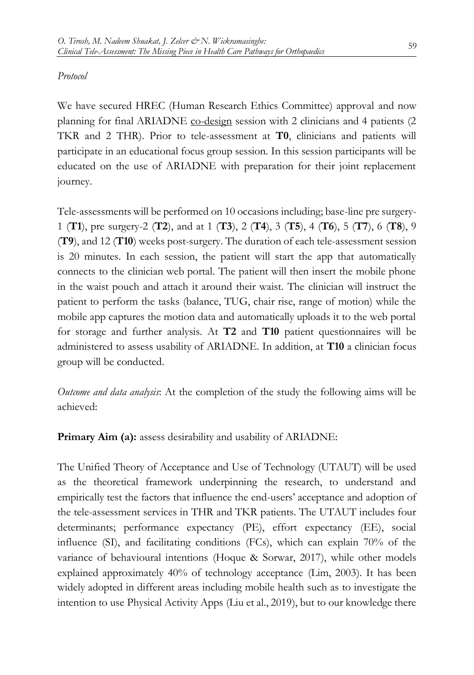#### *Protocol*

We have secured HREC (Human Research Ethics Committee) approval and now planning for final ARIADNE co-design session with 2 clinicians and 4 patients (2 TKR and 2 THR). Prior to tele-assessment at **T0**, clinicians and patients will participate in an educational focus group session. In this session participants will be educated on the use of ARIADNE with preparation for their joint replacement journey.

Tele-assessments will be performed on 10 occasions including; base-line pre surgery-1 (**T1**), pre surgery-2 (**T2**), and at 1 (**T3**), 2 (**T4**), 3 (**T5**), 4 (**T6**), 5 (**T7**), 6 (**T8**), 9 (**T9**), and 12 (**T10**) weeks post-surgery. The duration of each tele-assessment session is 20 minutes. In each session, the patient will start the app that automatically connects to the clinician web portal. The patient will then insert the mobile phone in the waist pouch and attach it around their waist. The clinician will instruct the patient to perform the tasks (balance, TUG, chair rise, range of motion) while the mobile app captures the motion data and automatically uploads it to the web portal for storage and further analysis. At **T2** and **T10** patient questionnaires will be administered to assess usability of ARIADNE. In addition, at **T10** a clinician focus group will be conducted.

*Outcome and data analysis*: At the completion of the study the following aims will be achieved:

**Primary Aim (a):** assess desirability and usability of ARIADNE:

The Unified Theory of Acceptance and Use of Technology (UTAUT) will be used as the theoretical framework underpinning the research, to understand and empirically test the factors that influence the end-users' acceptance and adoption of the tele-assessment services in THR and TKR patients. The UTAUT includes four determinants; performance expectancy (PE), effort expectancy (EE), social influence (SI), and facilitating conditions (FCs), which can explain 70% of the variance of behavioural intentions (Hoque & Sorwar, 2017), while other models explained approximately 40% of technology acceptance (Lim, 2003). It has been widely adopted in different areas including mobile health such as to investigate the intention to use Physical Activity Apps (Liu et al., 2019), but to our knowledge there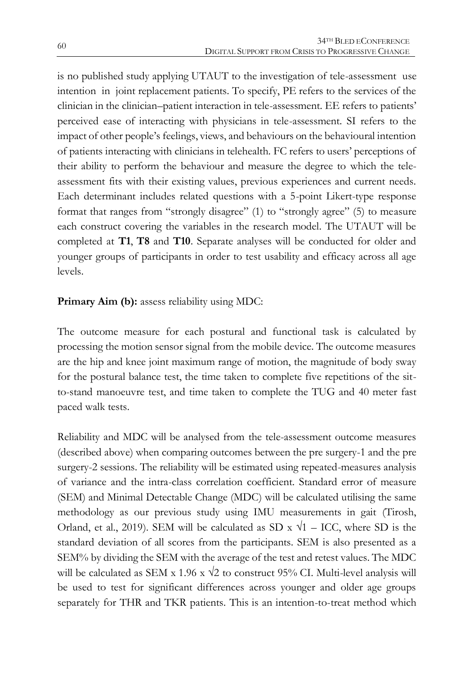is no published study applying UTAUT to the investigation of tele-assessment use intention in joint replacement patients. To specify, PE refers to the services of the clinician in the clinician–patient interaction in tele-assessment. EE refers to patients' perceived ease of interacting with physicians in tele-assessment. SI refers to the impact of other people's feelings, views, and behaviours on the behavioural intention of patients interacting with clinicians in telehealth. FC refers to users' perceptions of their ability to perform the behaviour and measure the degree to which the teleassessment fits with their existing values, previous experiences and current needs. Each determinant includes related questions with a 5-point Likert-type response format that ranges from "strongly disagree" (1) to "strongly agree" (5) to measure each construct covering the variables in the research model. The UTAUT will be completed at **T1**, **T8** and **T10**. Separate analyses will be conducted for older and younger groups of participants in order to test usability and efficacy across all age levels.

#### **Primary Aim (b):** assess reliability using MDC:

The outcome measure for each postural and functional task is calculated by processing the motion sensor signal from the mobile device. The outcome measures are the hip and knee joint maximum range of motion, the magnitude of body sway for the postural balance test, the time taken to complete five repetitions of the sitto-stand manoeuvre test, and time taken to complete the TUG and 40 meter fast paced walk tests.

Reliability and MDC will be analysed from the tele-assessment outcome measures (described above) when comparing outcomes between the pre surgery-1 and the pre surgery-2 sessions. The reliability will be estimated using repeated-measures analysis of variance and the intra-class correlation coefficient. Standard error of measure (SEM) and Minimal Detectable Change (MDC) will be calculated utilising the same methodology as our previous study using IMU measurements in gait (Tirosh, Orland, et al., 2019). SEM will be calculated as SD x  $\sqrt{1}$  – ICC, where SD is the standard deviation of all scores from the participants. SEM is also presented as a SEM% by dividing the SEM with the average of the test and retest values. The MDC will be calculated as SEM x 1.96 x  $\sqrt{2}$  to construct 95% CI. Multi-level analysis will be used to test for significant differences across younger and older age groups separately for THR and TKR patients. This is an intention-to-treat method which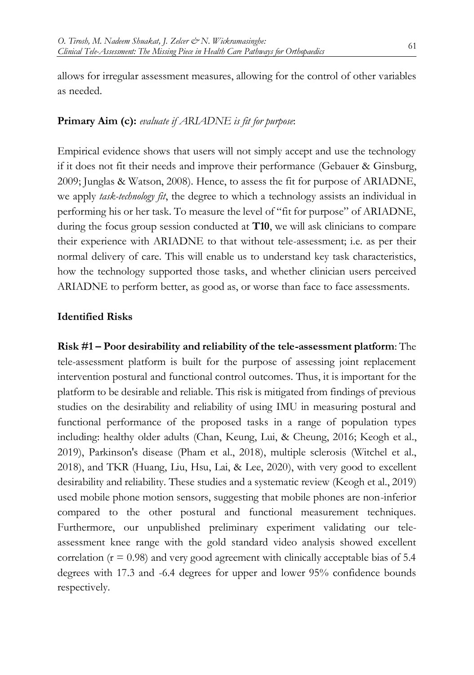allows for irregular assessment measures, allowing for the control of other variables as needed.

#### **Primary Aim (c):** *evaluate if ARIADNE is fit for purpose*:

Empirical evidence shows that users will not simply accept and use the technology if it does not fit their needs and improve their performance (Gebauer & Ginsburg, 2009; Junglas & Watson, 2008). Hence, to assess the fit for purpose of ARIADNE, we apply *task-technology fit*, the degree to which a technology assists an individual in performing his or her task. To measure the level of "fit for purpose" of ARIADNE, during the focus group session conducted at **T10**, we will ask clinicians to compare their experience with ARIADNE to that without tele-assessment; i.e. as per their normal delivery of care. This will enable us to understand key task characteristics, how the technology supported those tasks, and whether clinician users perceived ARIADNE to perform better, as good as, or worse than face to face assessments.

#### **Identified Risks**

**Risk #1 – Poor desirability and reliability of the tele-assessment platform**: The tele-assessment platform is built for the purpose of assessing joint replacement intervention postural and functional control outcomes. Thus, it is important for the platform to be desirable and reliable. This risk is mitigated from findings of previous studies on the desirability and reliability of using IMU in measuring postural and functional performance of the proposed tasks in a range of population types including: healthy older adults (Chan, Keung, Lui, & Cheung, 2016; Keogh et al., 2019), Parkinson's disease (Pham et al., 2018), multiple sclerosis (Witchel et al., 2018), and TKR (Huang, Liu, Hsu, Lai, & Lee, 2020), with very good to excellent desirability and reliability. These studies and a systematic review (Keogh et al., 2019) used mobile phone motion sensors, suggesting that mobile phones are non-inferior compared to the other postural and functional measurement techniques. Furthermore, our unpublished preliminary experiment validating our teleassessment knee range with the gold standard video analysis showed excellent correlation  $(r = 0.98)$  and very good agreement with clinically acceptable bias of 5.4 degrees with 17.3 and -6.4 degrees for upper and lower 95% confidence bounds respectively.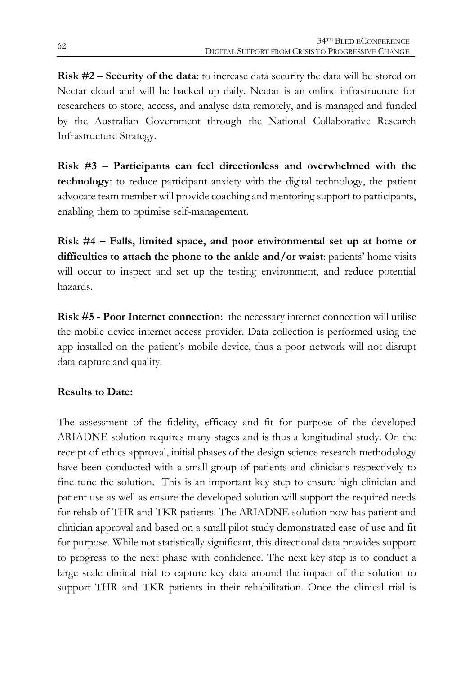**Risk #2 – Security of the data**: to increase data security the data will be stored on Nectar cloud and will be backed up daily. Nectar is an online infrastructure for researchers to store, access, and analyse data remotely, and is managed and funded by the Australian Government through the National Collaborative Research Infrastructure Strategy.

**Risk #3 – Participants can feel directionless and overwhelmed with the technology**: to reduce participant anxiety with the digital technology, the patient advocate team member will provide coaching and mentoring support to participants, enabling them to optimise self-management.

**Risk #4 – Falls, limited space, and poor environmental set up at home or difficulties to attach the phone to the ankle and/or waist**: patients' home visits will occur to inspect and set up the testing environment, and reduce potential hazards.

**Risk #5 - Poor Internet connection**: the necessary internet connection will utilise the mobile device internet access provider. Data collection is performed using the app installed on the patient's mobile device, thus a poor network will not disrupt data capture and quality.

### **Results to Date:**

The assessment of the fidelity, efficacy and fit for purpose of the developed ARIADNE solution requires many stages and is thus a longitudinal study. On the receipt of ethics approval, initial phases of the design science research methodology have been conducted with a small group of patients and clinicians respectively to fine tune the solution. This is an important key step to ensure high clinician and patient use as well as ensure the developed solution will support the required needs for rehab of THR and TKR patients. The ARIADNE solution now has patient and clinician approval and based on a small pilot study demonstrated ease of use and fit for purpose. While not statistically significant, this directional data provides support to progress to the next phase with confidence. The next key step is to conduct a large scale clinical trial to capture key data around the impact of the solution to support THR and TKR patients in their rehabilitation. Once the clinical trial is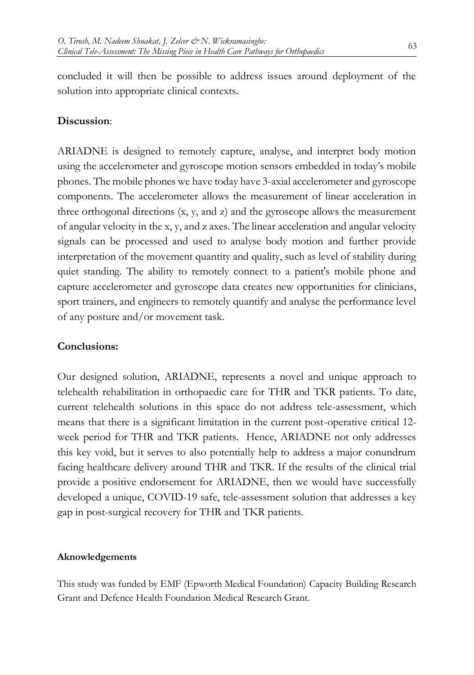concluded it will then be possible to address issues around deployment of the solution into appropriate clinical contexts.

#### **Discussion**:

ARIADNE is designed to remotely capture, analyse, and interpret body motion using the accelerometer and gyroscope motion sensors embedded in today's mobile phones. The mobile phones we have today have 3-axial accelerometer and gyroscope components. The accelerometer allows the measurement of linear acceleration in three orthogonal directions (x, y, and z) and the gyroscope allows the measurement of angular velocity in the x, y, and z axes. The linear acceleration and angular velocity signals can be processed and used to analyse body motion and further provide interpretation of the movement quantity and quality, such as level of stability during quiet standing. The ability to remotely connect to a patient's mobile phone and capture accelerometer and gyroscope data creates new opportunities for clinicians, sport trainers, and engineers to remotely quantify and analyse the performance level of any posture and/or movement task.

#### **Conclusions:**

Our designed solution, ARIADNE, represents a novel and unique approach to telehealth rehabilitation in orthopaedic care for THR and TKR patients. To date, current telehealth solutions in this space do not address tele-assessment, which means that there is a significant limitation in the current post-operative critical 12 week period for THR and TKR patients. Hence, ARIADNE not only addresses this key void, but it serves to also potentially help to address a major conundrum facing healthcare delivery around THR and TKR. If the results of the clinical trial provide a positive endorsement for ARIADNE, then we would have successfully developed a unique, COVID-19 safe, tele-assessment solution that addresses a key gap in post-surgical recovery for THR and TKR patients.

#### **Aknowledgements**

This study was funded by EMF (Epworth Medical Foundation) Capacity Building Research Grant and Defence Health Foundation Medical Research Grant.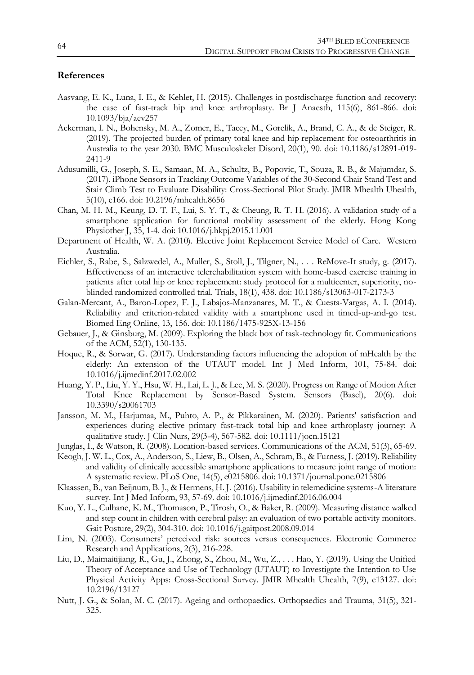#### **References**

- Aasvang, E. K., Luna, I. E., & Kehlet, H. (2015). Challenges in postdischarge function and recovery: the case of fast-track hip and knee arthroplasty. Br J Anaesth, 115(6), 861-866. doi: 10.1093/bja/aev257
- Ackerman, I. N., Bohensky, M. A., Zomer, E., Tacey, M., Gorelik, A., Brand, C. A., & de Steiger, R. (2019). The projected burden of primary total knee and hip replacement for osteoarthritis in Australia to the year 2030. BMC Musculoskelet Disord, 20(1), 90. doi: 10.1186/s12891-019- 2411-9
- Adusumilli, G., Joseph, S. E., Samaan, M. A., Schultz, B., Popovic, T., Souza, R. B., & Majumdar, S. (2017). iPhone Sensors in Tracking Outcome Variables of the 30-Second Chair Stand Test and Stair Climb Test to Evaluate Disability: Cross-Sectional Pilot Study. JMIR Mhealth Uhealth, 5(10), e166. doi: 10.2196/mhealth.8656
- Chan, M. H. M., Keung, D. T. F., Lui, S. Y. T., & Cheung, R. T. H. (2016). A validation study of a smartphone application for functional mobility assessment of the elderly. Hong Kong Physiother J, 35, 1-4. doi: 10.1016/j.hkpj.2015.11.001
- Department of Health, W. A. (2010). Elective Joint Replacement Service Model of Care. Western Australia.
- Eichler, S., Rabe, S., Salzwedel, A., Muller, S., Stoll, J., Tilgner, N., . . . ReMove-It study, g. (2017). Effectiveness of an interactive telerehabilitation system with home-based exercise training in patients after total hip or knee replacement: study protocol for a multicenter, superiority, noblinded randomized controlled trial. Trials, 18(1), 438. doi: 10.1186/s13063-017-2173-3
- Galan-Mercant, A., Baron-Lopez, F. J., Labajos-Manzanares, M. T., & Cuesta-Vargas, A. I. (2014). Reliability and criterion-related validity with a smartphone used in timed-up-and-go test. Biomed Eng Online, 13, 156. doi: 10.1186/1475-925X-13-156
- Gebauer, J., & Ginsburg, M. (2009). Exploring the black box of task-technology fit. Communications of the ACM, 52(1), 130-135.
- Hoque, R., & Sorwar, G. (2017). Understanding factors influencing the adoption of mHealth by the elderly: An extension of the UTAUT model. Int J Med Inform, 101, 75-84. doi: 10.1016/j.ijmedinf.2017.02.002
- Huang, Y. P., Liu, Y. Y., Hsu, W. H., Lai, L. J., & Lee, M. S. (2020). Progress on Range of Motion After Total Knee Replacement by Sensor-Based System. Sensors (Basel), 20(6). doi: 10.3390/s20061703
- Jansson, M. M., Harjumaa, M., Puhto, A. P., & Pikkarainen, M. (2020). Patients' satisfaction and experiences during elective primary fast-track total hip and knee arthroplasty journey: A qualitative study. J Clin Nurs, 29(3-4), 567-582. doi: 10.1111/jocn.15121
- Junglas, I., & Watson, R. (2008). Location-based services. Communications of the ACM, 51(3), 65-69.
- Keogh, J. W. L., Cox, A., Anderson, S., Liew, B., Olsen, A., Schram, B., & Furness, J. (2019). Reliability and validity of clinically accessible smartphone applications to measure joint range of motion: A systematic review. PLoS One, 14(5), e0215806. doi: 10.1371/journal.pone.0215806
- Klaassen, B., van Beijnum, B. J., & Hermens, H. J. (2016). Usability in telemedicine systems-A literature survey. Int J Med Inform, 93, 57-69. doi: 10.1016/j.ijmedinf.2016.06.004
- Kuo, Y. L., Culhane, K. M., Thomason, P., Tirosh, O., & Baker, R. (2009). Measuring distance walked and step count in children with cerebral palsy: an evaluation of two portable activity monitors. Gait Posture, 29(2), 304-310. doi: 10.1016/j.gaitpost.2008.09.014
- Lim, N. (2003). Consumers' perceived risk: sources versus consequences. Electronic Commerce Research and Applications, 2(3), 216-228.
- Liu, D., Maimaitijiang, R., Gu, J., Zhong, S., Zhou, M., Wu, Z., . . . Hao, Y. (2019). Using the Unified Theory of Acceptance and Use of Technology (UTAUT) to Investigate the Intention to Use Physical Activity Apps: Cross-Sectional Survey. JMIR Mhealth Uhealth, 7(9), e13127. doi: 10.2196/13127
- Nutt, J. G., & Solan, M. C. (2017). Ageing and orthopaedics. Orthopaedics and Trauma, 31(5), 321- 325.